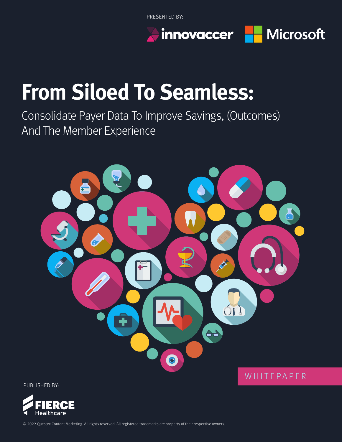PRESENTED BY:



# **From Siloed To Seamless:**

Consolidate Payer Data To Improve Savings, (Outcomes) And The Member Experience



PUBLISHED BY:



© 2022 Questex Content Marketing. All rights reserved. All registered trademarks are property of their respective owners.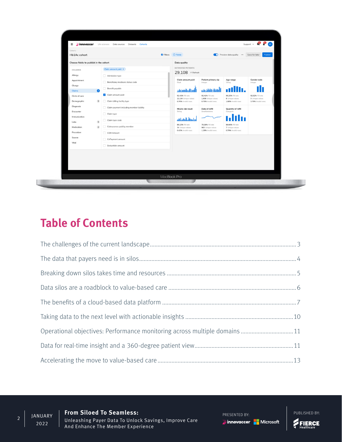

# **Table of Contents**

| Operational objectives: Performance monitoring across multiple domains  11 |  |
|----------------------------------------------------------------------------|--|
|                                                                            |  |
|                                                                            |  |

**From Siloed To Seamless:** Unleashing Payer Data To Unlock Savings, Improve Care And Enhance The Member Experience  $2$  JANUARY

2022

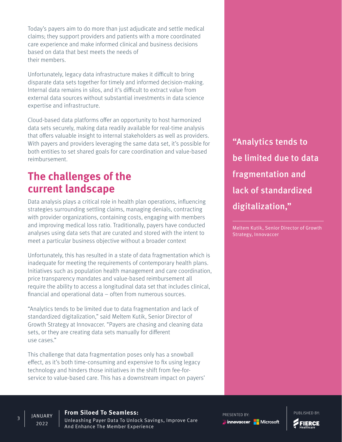Today's payers aim to do more than just adjudicate and settle medical claims; they support providers and patients with a more coordinated care experience and make informed clinical and business decisions based on data that best meets the needs of their members.

Unfortunately, legacy data infrastructure makes it difficult to bring disparate data sets together for timely and informed decision-making. Internal data remains in silos, and it's difficult to extract value from external data sources without substantial investments in data science expertise and infrastructure.

Cloud-based data platforms offer an opportunity to host harmonized data sets securely, making data readily available for real-time analysis that offers valuable insight to internal stakeholders as well as providers. With payers and providers leveraging the same data set, it's possible for both entities to set shared goals for care coordination and value-based reimbursement.

## **The challenges of the current landscape**

Data analysis plays a critical role in health plan operations, influencing strategies surrounding settling claims, managing denials, contracting with provider organizations, containing costs, engaging with members and improving medical loss ratio. Traditionally, payers have conducted analyses using data sets that are curated and stored with the intent to meet a particular business objective without a broader context

Unfortunately, this has resulted in a state of data fragmentation which is inadequate for meeting the requirements of contemporary health plans. Initiatives such as population health management and care coordination, price transparency mandates and value-based reimbursement all require the ability to access a longitudinal data set that includes clinical, financial and operational data – often from numerous sources.

"Analytics tends to be limited due to data fragmentation and lack of standardized digitalization," said Meltem Kutik, Senior Director of Growth Strategy at Innovaccer. "Payers are chasing and cleaning data sets, or they are creating data sets manually for different use cases."

This challenge that data fragmentation poses only has a snowball effect, as it's both time-consuming and expensive to fix using legacy technology and hinders those initiatives in the shift from fee-forservice to value-based care. This has a downstream impact on payers' "Analytics tends to be limited due to data fragmentation and lack of standardized digitalization,"

Meltem Kutik, Senior Director of Growth Strategy, Innovaccer

PRESENTED BY: PUBLISHED BY: innovaccer Hall Microsoft



**From Siloed To Seamless:**

**JANUARY** วกวว

Unleashing Payer Data To Unlock Savings, Improve Care And Enhance The Member Experience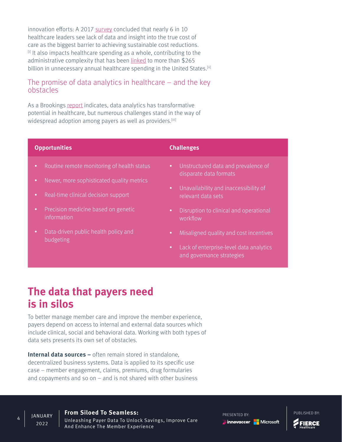innovation efforts: A 2017 [survey](https://www.healthleadersmedia.com/report/intelligence/cost-and-revenue-strategies-need-transparency-and-understanding-true-costs) concluded that nearly 6 in 10 healthcare leaders see lack of data and insight into the true cost of care as the biggest barrier to achieving sustainable cost reductions. [i] It also impacts healthcare spending as a whole, contributing to the administrative complexity that has been [linked](https://jamanetwork.com/journals/jama/article-abstract/2752664) to more than \$265 billion in unnecessary annual healthcare spending in the United States.<sup>[ii]</sup>

### The promise of data analytics in healthcare – and the key obstacles

As a Brookings [report](https://www.brookings.edu/research/the-opportunities-and-challenges-of-data-analytics-in-health-care/) indicates, data analytics has transformative potential in healthcare, but numerous challenges stand in the way of widespread adoption among payers as well as providers.<sup>[iii]</sup>

| <b>Opportunities</b>                                           | <b>Challenges</b>                                                                                           |
|----------------------------------------------------------------|-------------------------------------------------------------------------------------------------------------|
| Routine remote monitoring of health status                     | Unstructured data and prevalence of                                                                         |
| $\bullet$                                                      | $\bullet$                                                                                                   |
| Newer, more sophisticated quality metrics                      | disparate data formats                                                                                      |
| $\bullet$                                                      | Unavailability and inaccessibility of                                                                       |
| Real-time clinical decision support                            | $\bullet$                                                                                                   |
| $\bullet$                                                      | relevant data sets                                                                                          |
| Precision medicine based on genetic                            | Disruption to clinical and operational                                                                      |
| $\bullet$                                                      | $\bullet$                                                                                                   |
| information                                                    | workflow                                                                                                    |
| Data-driven public health policy and<br>$\bullet$<br>budgeting | Misaligned quality and cost incentives<br>$\bullet$<br>Lack of enterprise-level data analytics<br>$\bullet$ |

and governance strategies

## **The data that payers need is in silos**

To better manage member care and improve the member experience, payers depend on access to internal and external data sources which include clinical, social and behavioral data. Working with both types of data sets presents its own set of obstacles.

**Internal data sources –** often remain stored in standalone, decentralized business systems. Data is applied to its specific use case – member engagement, claims, premiums, drug formularies and copayments and so on – and is not shared with other business

#### **From Siloed To Seamless: JANUARY**

Unleashing Payer Data To Unlock Savings, Improve Care And Enhance The Member Experience

PRESENTED BY: PUBLISHED BY: innovaccer **H** Microsoft



วกวว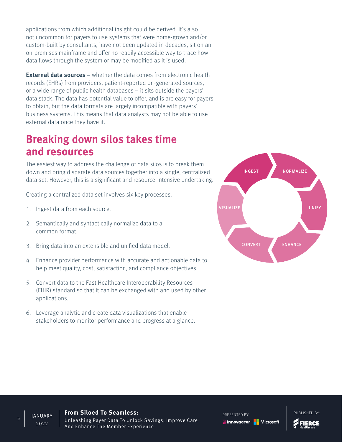applications from which additional insight could be derived. It's also not uncommon for payers to use systems that were home-grown and/or custom-built by consultants, have not been updated in decades, sit on an on-premises mainframe and offer no readily accessible way to trace how data flows through the system or may be modified as it is used.

**External data sources –** whether the data comes from electronic health records (EHRs) from providers, patient-reported or -generated sources, or a wide range of public health databases – it sits outside the payers' data stack. The data has potential value to offer, and is are easy for payers to obtain, but the data formats are largely incompatible with payers' business systems. This means that data analysts may not be able to use external data once they have it.

## **Breaking down silos takes time and resources**

The easiest way to address the challenge of data silos is to break them down and bring disparate data sources together into a single, centralized data set. However, this is a significant and resource-intensive undertaking.

Creating a centralized data set involves six key processes.

- 1. Ingest data from each source.
- 2. Semantically and syntactically normalize data to a common format.
- 3. Bring data into an extensible and unified data model.
- 4. Enhance provider performance with accurate and actionable data to help meet quality, cost, satisfaction, and compliance objectives.
- 5. Convert data to the Fast Healthcare Interoperability Resources (FHIR) standard so that it can be exchanged with and used by other applications.
- 6. Leverage analytic and create data visualizations that enable stakeholders to monitor performance and progress at a glance.



วกวว

**From Siloed To Seamless:** Unleashing Payer Data To Unlock Savings, Improve Care And Enhance The Member Experience

PRESENTED BY: PUBLISHED BY: innovaccer **H** Microsoft

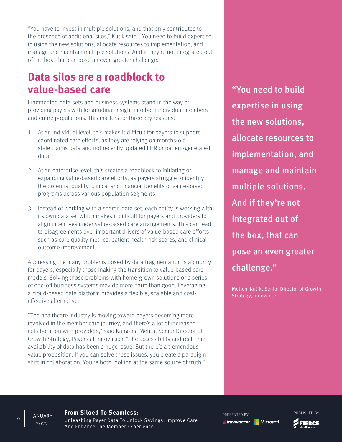"You have to invest in multiple solutions, and that only contributes to the presence of additional silos," Kutik said. "You need to build expertise in using the new solutions, allocate resources to implementation, and manage and maintain multiple solutions. And if they're not integrated out of the box, that can pose an even greater challenge."

## **Data silos are a roadblock to value-based care**

Fragmented data sets and business systems stand in the way of providing payers with longitudinal insight into both individual members and entire populations. This matters for three key reasons:

- 1. At an individual level, this makes it difficult for payers to support coordinated care efforts, as they are relying on months-old stale claims data and not recently updated EHR or patient-generated data.
- 2. At an enterprise level, this creates a roadblock to initiating or expanding value-based care efforts, as payers struggle to identify the potential quality, clinical and financial benefits of value-based programs across various population segments.
- 3. Instead of working with a shared data set, each entity is working with its own data set which makes it difficult for payers and providers to align incentives under value-based care arrangements. This can lead to disagreements over important drivers of value-based care efforts such as care quality metrics, patient health risk scores, and clinical outcome improvement.

Addressing the many problems posed by data fragmentation is a priority for payers, especially those making the transition to value-based care models. Solving those problems with home-grown solutions or a series of one-off business systems may do more harm than good. Leveraging a cloud-based data platform provides a flexible, scalable and costeffective alternative.

"The healthcare industry is moving toward payers becoming more involved in the member care journey, and there's a lot of increased collaboration with providers," said Kangana Mehta, Senior Director of Growth Strategy, Payers at Innovaccer. "The accessibility and real-time availability of data has been a huge issue. But there's a tremendous value proposition. If you can solve these issues, you create a paradigm shift in collaboration. You're both looking at the same source of truth."

"You need to build expertise in using the new solutions, allocate resources to implementation, and manage and maintain multiple solutions. And if they're not integrated out of the box, that can pose an even greater challenge."

Meltem Kutik, Senior Director of Growth Strategy, Innovaccer

 $6$  JANUARY วกวว

**From Siloed To Seamless:** Unleashing Payer Data To Unlock Savings, Improve Care And Enhance The Member Experience

PRESENTED BY: PUBLISHED BY: innovaccer Hamilton Microsoft

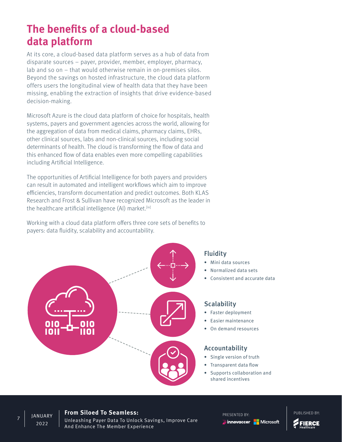## **The benefits of a cloud-based data platform**

At its core, a cloud-based data platform serves as a hub of data from disparate sources – payer, provider, member, employer, pharmacy, lab and so on – that would otherwise remain in on-premises silos. Beyond the savings on hosted infrastructure, the cloud data platform offers users the longitudinal view of health data that they have been missing, enabling the extraction of insights that drive evidence-based decision-making.

Microsoft Azure is the cloud data platform of choice for hospitals, health systems, payers and government agencies across the world, allowing for the aggregation of data from medical claims, pharmacy claims, EHRs, other clinical sources, labs and non-clinical sources, including social determinants of health. The cloud is transforming the flow of data and this enhanced flow of data enables even more compelling capabilities including Artificial Intelligence.

The opportunities of Artificial Intelligence for both payers and providers can result in automated and intelligent workflows which aim to improve efficiencies, transform documentation and predict outcomes. Both KLAS Research and Frost & Sullivan have recognized Microsoft as the leader in the healthcare artificial intelligence (AI) market.[iv]

Working with a cloud data platform offers three core sets of benefits to payers: data fluidity, scalability and accountability.



#### Fluidity

- Mini data sources
- Normalized data sets
- Consistent and accurate data

#### **Scalability**

- Faster deployment
- Easier maintenance
- On demand resources

#### Accountability

- Single version of truth
- Transparent data flow
- Supports collaboration and shared incentives

#### **From Siloed To Seamless:**

Unleashing Payer Data To Unlock Savings, Improve Care And Enhance The Member Experience

innovaccer **H** Microsoft

PRESENTED BY: PUBLISHED BY:



**JANUARY** วกวว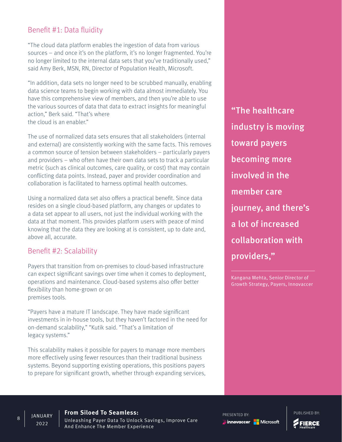## Benefit #1: Data fluidity

"The cloud data platform enables the ingestion of data from various sources – and once it's on the platform, it's no longer fragmented. You're no longer limited to the internal data sets that you've traditionally used," said Amy Berk, MSN, RN, Director of Population Health, Microsoft.

"In addition, data sets no longer need to be scrubbed manually, enabling data science teams to begin working with data almost immediately. You have this comprehensive view of members, and then you're able to use the various sources of data that data to extract insights for meaningful action," Berk said. "That's where the cloud is an enabler."

The use of normalized data sets ensures that all stakeholders (internal and external) are consistently working with the same facts. This removes a common source of tension between stakeholders – particularly payers and providers – who often have their own data sets to track a particular metric (such as clinical outcomes, care quality, or cost) that may contain conflicting data points. Instead, payer and provider coordination and collaboration is facilitated to harness optimal health outcomes.

Using a normalized data set also offers a practical benefit. Since data resides on a single cloud-based platform, any changes or updates to a data set appear to all users, not just the individual working with the data at that moment. This provides platform users with peace of mind knowing that the data they are looking at is consistent, up to date and, above all, accurate.

### Benefit #2: Scalability

Payers that transition from on-premises to cloud-based infrastructure can expect significant savings over time when it comes to deployment, operations and maintenance. Cloud-based systems also offer better flexibility than home-grown or on premises tools.

"Payers have a mature IT landscape. They have made significant investments in in-house tools, but they haven't factored in the need for on-demand scalability," "Kutik said. "That's a limitation of legacy systems."

This scalability makes it possible for payers to manage more members more effectively using fewer resources than their traditional business systems. Beyond supporting existing operations, this positions payers to prepare for significant growth, whether through expanding services,

"The healthcare industry is moving toward payers becoming more involved in the member care journey, and there's a lot of increased collaboration with providers,"

Kangana Mehta, Senior Director of Growth Strategy, Payers, Innovaccer

**From Siloed To Seamless:**

Unleashing Payer Data To Unlock Savings, Improve Care And Enhance The Member Experience

PRESENTED BY: PUBLISHED BY: innovaccer **H** Microsoft



**FIERCE** 

 $\begin{array}{|c|c|c|c|}\n\hline\n8 & \text{JANUARY}\n\end{array}$ 

วกวว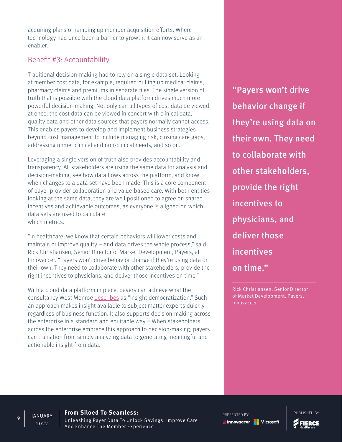acquiring plans or ramping up member acquisition efforts. Where technology had once been a barrier to growth, it can now serve as an enabler.

## Benefit #3: Accountability

Traditional decision-making had to rely on a single data set. Looking at member cost data, for example, required pulling up medical claims, pharmacy claims and premiums in separate files. The single version of truth that is possible with the cloud data platform drives much more powerful decision-making. Not only can all types of cost data be viewed at once; the cost data can be viewed in concert with clinical data, quality data and other data sources that payers normally cannot access. This enables payers to develop and implement business strategies beyond cost management to include managing risk, closing care gaps, addressing unmet clinical and non-clinical needs, and so on.

Leveraging a single version of truth also provides accountability and transparency. All stakeholders are using the same data for analysis and decision-making, see how data flows across the platform, and know when changes to a data set have been made. This is a core component of payer-provider collaboration and value-based care. With both entities looking at the same data, they are well positioned to agree on shared incentives and achievable outcomes, as everyone is aligned on which data sets are used to calculate which metrics

"In healthcare, we know that certain behaviors will lower costs and maintain or improve quality – and data drives the whole process," said Rick Christiansen, Senior Director of Market Development, Payers, at Innovaccer. "Payers won't drive behavior change if they're using data on their own. They need to collaborate with other stakeholders, provide the right incentives to physicians, and deliver those incentives on time."

With a cloud data platform in place, payers can achieve what the consultancy West Monroe [describes](https://www.westmonroe.com/perspectives/point-of-view/why-health-payers-need-insight-democratization-to-unlock-the-value-of-data) as "insight democratization." Such an approach makes insight available to subject matter experts quickly regardless of business function. It also supports decision-making across the enterprise in a standard and equitable way.<sup>[v]</sup> When stakeholders across the enterprise embrace this approach to decision-making, payers can transition from simply analyzing data to generating meaningful and actionable insight from data.

"Payers won't drive behavior change if they're using data on their own. They need to collaborate with other stakeholders, provide the right incentives to physicians, and deliver those incentives on time."

Rick Christiansen, Senior Director of Market Development, Payers, Innovaccer

**From Siloed To Seamless:**

Unleashing Payer Data To Unlock Savings, Improve Care And Enhance The Member Experience

PRESENTED BY: PUBLISHED BY: innovaccer **H** Microsoft

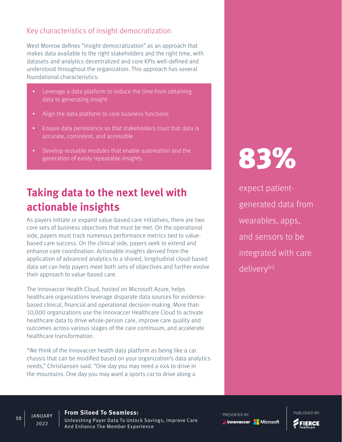## Key characteristics of insight democratization

West Monroe defines "insight democratization" as an approach that makes data available to the right stakeholders and the right time, with datasets and analytics decentralized and core KPIs well-defined and understood throughout the organization. This approach has several foundational characteristics:

- Leverage a data platform to reduce the time from obtaining data to generating insight
- Align the data platform to core business functions
- Ensure data persistence so that stakeholders trust that data is accurate, consistent, and accessible
- Develop reusable modules that enable automation and the generation of easily repeatable insights

# **Taking data to the next level with actionable insights**

As payers initiate or expand value-based care initiatives, there are two core sets of business objectives that must be met. On the operational side, payers must track numerous performance metrics tied to valuebased care success. On the clinical side, payers seek to extend and enhance care coordination. Actionable insights derived from the application of advanced analytics to a shared, longitudinal cloud-based data set can help payers meet both sets of objectives and further evolve their approach to value-based care.

The Innovaccer Health Cloud, hosted on Microsoft Azure, helps healthcare organizations leverage disparate data sources for evidencebased clinical, financial and operational decision-making. More than 10,000 organizations use the Innovaccer Healthcare Cloud to activate healthcare data to drive whole-person care, improve care quality and outcomes across various stages of the care continuum, and accelerate healthcare transformation.

"We think of the Innovaccer health data platform as being like a car chassis that can be modified based on your organization's data analytics needs," Christiansen said. "One day you may need a 4x4 to drive in the mountains. One day you may want a sports car to drive along a

# 83%

expect patientgenerated data from wearables, apps, and sensors to be integrated with care delivery[vi]

**From Siloed To Seamless: IANUARY** 

Unleashing Payer Data To Unlock Savings, Improve Care And Enhance The Member Experience

PRESENTED BY: PUBLISHED BY: innovaccer Hall Microsoft





วกวว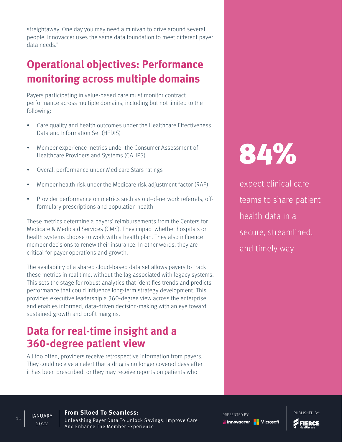straightaway. One day you may need a minivan to drive around several people. Innovaccer uses the same data foundation to meet different payer data needs."

# **Operational objectives: Performance monitoring across multiple domains**

Payers participating in value-based care must monitor contract performance across multiple domains, including but not limited to the following:

- Care quality and health outcomes under the Healthcare Effectiveness Data and Information Set (HEDIS)
- Member experience metrics under the Consumer Assessment of Healthcare Providers and Systems (CAHPS)
- Overall performance under Medicare Stars ratings
- Member health risk under the Medicare risk adjustment factor (RAF)
- Provider performance on metrics such as out-of-network referrals, offformulary prescriptions and population health

These metrics determine a payers' reimbursements from the Centers for Medicare & Medicaid Services (CMS). They impact whether hospitals or health systems choose to work with a health plan. They also influence member decisions to renew their insurance. In other words, they are critical for payer operations and growth.

The availability of a shared cloud-based data set allows payers to track these metrics in real time, without the lag associated with legacy systems. This sets the stage for robust analytics that identifies trends and predicts performance that could influence long-term strategy development. This provides executive leadership a 360-degree view across the enterprise and enables informed, data-driven decision-making with an eye toward sustained growth and profit margins.

## **Data for real-time insight and a 360-degree patient view**

All too often, providers receive retrospective information from payers. They could receive an alert that a drug is no longer covered days after it has been prescribed, or they may receive reports on patients who

84%

expect clinical care teams to share patient health data in a secure, streamlined, and timely way

#### **From Siloed To Seamless:**

 $\begin{array}{|c|c|c|}\n\hline\n11 & \text{JANUARY}\n\end{array}$ วกวว

Unleashing Payer Data To Unlock Savings, Improve Care And Enhance The Member Experience

PRESENTED BY: PUBLISHED BY: innovaccer **H** Microsoft

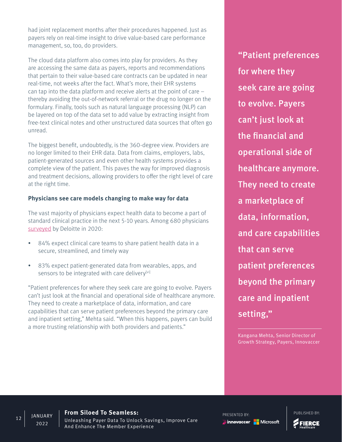had joint replacement months after their procedures happened. Just as payers rely on real-time insight to drive value-based care performance management, so, too, do providers.

The cloud data platform also comes into play for providers. As they are accessing the same data as payers, reports and recommendations that pertain to their value-based care contracts can be updated in near real-time, not weeks after the fact. What's more, their EHR systems can tap into the data platform and receive alerts at the point of care – thereby avoiding the out-of-network referral or the drug no longer on the formulary. Finally, tools such as natural language processing (NLP) can be layered on top of the data set to add value by extracting insight from free-text clinical notes and other unstructured data sources that often go unread.

The biggest benefit, undoubtedly, is the 360-degree view. Providers are no longer limited to their EHR data. Data from claims, employers, labs, patient-generated sources and even other health systems provides a complete view of the patient. This paves the way for improved diagnosis and treatment decisions, allowing providers to offer the right level of care at the right time.

#### **Physicians see care models changing to make way for data**

The vast majority of physicians expect health data to become a part of standard clinical practice in the next 5-10 years. Among 680 physicians [surveyed](https://www2.deloitte.com/us/en/insights/industry/health-care/physicians-guide-value-based-care-trends.html) by Deloitte in 2020:

- 84% expect clinical care teams to share patient health data in a secure, streamlined, and timely way
- 83% expect patient-generated data from wearables, apps, and sensors to be integrated with care delivery[vi]

"Patient preferences for where they seek care are going to evolve. Payers can't just look at the financial and operational side of healthcare anymore. They need to create a marketplace of data, information, and care capabilities that can serve patient preferences beyond the primary care and inpatient setting," Mehta said. "When this happens, payers can build a more trusting relationship with both providers and patients."

"Patient preferences for where they seek care are going to evolve. Payers can't just look at the financial and operational side of healthcare anymore. They need to create a marketplace of data, information, and care capabilities that can serve patient preferences beyond the primary care and inpatient setting,"

Kangana Mehta, Senior Director of Growth Strategy, Payers, Innovaccer

 $\overline{12}$  JANUARY วกวว

#### **From Siloed To Seamless:**

Unleashing Payer Data To Unlock Savings, Improve Care And Enhance The Member Experience

PRESENTED BY: PUBLISHED BY: innovaccer **H** Microsoft